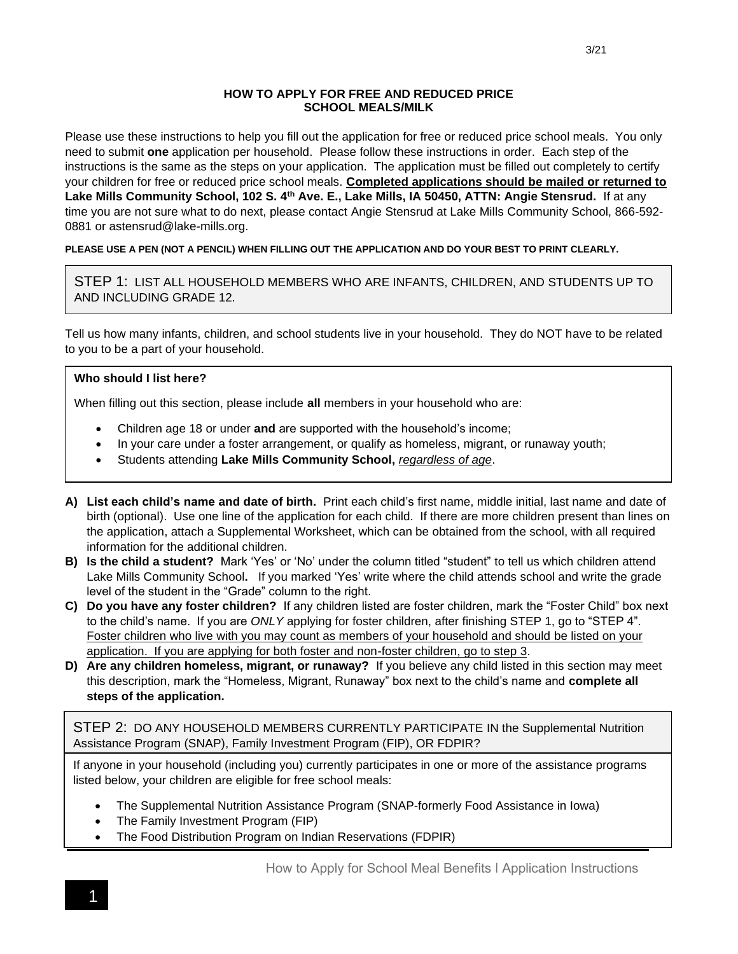#### **HOW TO APPLY FOR FREE AND REDUCED PRICE SCHOOL MEALS/MILK**

Please use these instructions to help you fill out the application for free or reduced price school meals. You only need to submit **one** application per household.Please follow these instructions in order. Each step of the instructions is the same as the steps on your application. The application must be filled out completely to certify your children for free or reduced price school meals. **Completed applications should be mailed or returned to Lake Mills Community School, 102 S. 4th Ave. E., Lake Mills, IA 50450, ATTN: Angie Stensrud.** If at any time you are not sure what to do next, please contact Angie Stensrud at Lake Mills Community School, 866-592- 0881 or astensrud@lake-mills.org.

#### **PLEASE USE A PEN (NOT A PENCIL) WHEN FILLING OUT THE APPLICATION AND DO YOUR BEST TO PRINT CLEARLY.**

STEP 1: LIST ALL HOUSEHOLD MEMBERS WHO ARE INFANTS, CHILDREN, AND STUDENTS UP TO AND INCLUDING GRADE 12.

Tell us how many infants, children, and school students live in your household. They do NOT have to be related to you to be a part of your household.

#### **Who should I list here?**

When filling out this section, please include **all** members in your household who are:

- Children age 18 or under **and** are supported with the household's income;
- In your care under a foster arrangement, or qualify as homeless, migrant, or runaway youth;
- Students attending **Lake Mills Community School,** *regardless of age*.
- **A) List each child's name and date of birth.** Print each child's first name, middle initial, last name and date of birth (optional). Use one line of the application for each child. If there are more children present than lines on the application, attach a Supplemental Worksheet, which can be obtained from the school, with all required information for the additional children.
- **B) Is the child a student?** Mark 'Yes' or 'No' under the column titled "student" to tell us which children attend Lake Mills Community School**.** If you marked 'Yes' write where the child attends school and write the grade level of the student in the "Grade" column to the right.
- **C) Do you have any foster children?** If any children listed are foster children, mark the "Foster Child" box next to the child's name. If you are *ONLY* applying for foster children, after finishing STEP 1, go to "STEP 4". Foster children who live with you may count as members of your household and should be listed on your application. If you are applying for both foster and non-foster children, go to step 3.
- **D) Are any children homeless, migrant, or runaway?** If you believe any child listed in this section may meet this description, mark the "Homeless, Migrant, Runaway" box next to the child's name and **complete all steps of the application.**

STEP 2: DO ANY HOUSEHOLD MEMBERS CURRENTLY PARTICIPATE IN the Supplemental Nutrition Assistance Program (SNAP), Family Investment Program (FIP), OR FDPIR?

If anyone in your household (including you) currently participates in one or more of the assistance programs listed below, your children are eligible for free school meals:

- The Supplemental Nutrition Assistance Program (SNAP-formerly Food Assistance in Iowa)
- The Family Investment Program (FIP)
- The Food Distribution Program on Indian Reservations (FDPIR)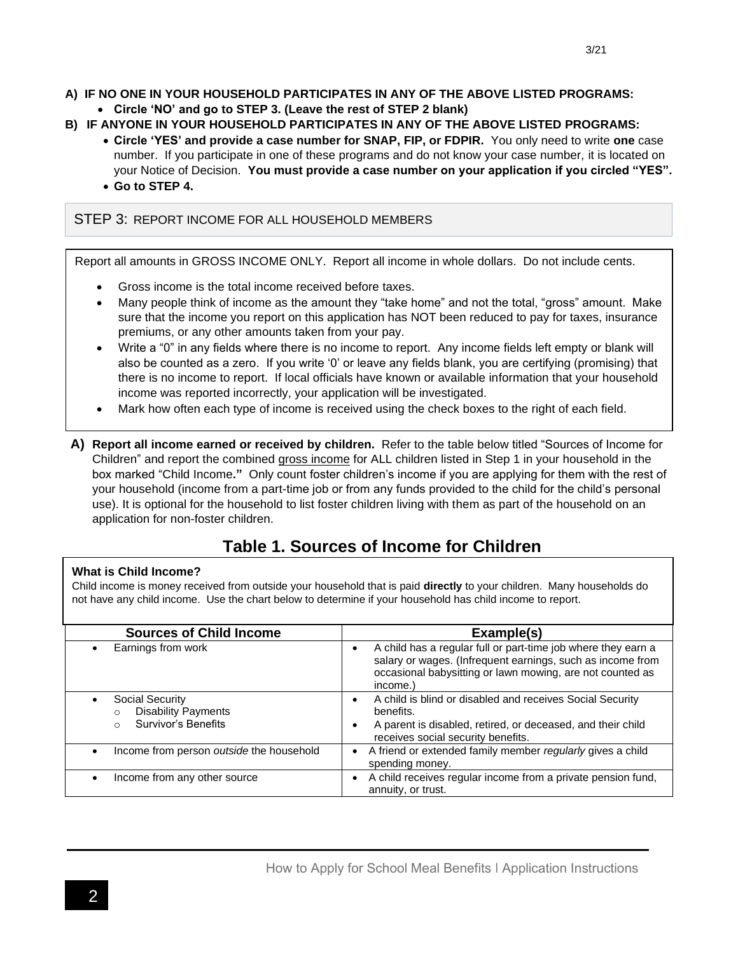#### **A) IF NO ONE IN YOUR HOUSEHOLD PARTICIPATES IN ANY OF THE ABOVE LISTED PROGRAMS:**

- **Circle 'NO' and go to STEP 3. (Leave the rest of STEP 2 blank)**
- **B) IF ANYONE IN YOUR HOUSEHOLD PARTICIPATES IN ANY OF THE ABOVE LISTED PROGRAMS:**
	- **Circle 'YES' and provide a case number for SNAP, FIP, or FDPIR.** You only need to write **one** case number. If you participate in one of these programs and do not know your case number, it is located on your Notice of Decision. **You must provide a case number on your application if you circled "YES".**
	- **Go to STEP 4.**

#### STEP 3: REPORT INCOME FOR ALL HOUSEHOLD MEMBERS

Report all amounts in GROSS INCOME ONLY. Report all income in whole dollars. Do not include cents.

- Gross income is the total income received before taxes.
- Many people think of income as the amount they "take home" and not the total, "gross" amount. Make sure that the income you report on this application has NOT been reduced to pay for taxes, insurance premiums, or any other amounts taken from your pay.
- Write a "0" in any fields where there is no income to report. Any income fields left empty or blank will also be counted as a zero. If you write '0' or leave any fields blank, you are certifying (promising) that there is no income to report. If local officials have known or available information that your household income was reported incorrectly, your application will be investigated.
- Mark how often each type of income is received using the check boxes to the right of each field*.*
- **A) Report all income earned or received by children.** Refer to the table below titled "Sources of Income for Children" and report the combined gross income for ALL children listed in Step 1 in your household in the box marked "Child Income**."** Only count foster children's income if you are applying for them with the rest of your household (income from a part-time job or from any funds provided to the child for the child's personal use). It is optional for the household to list foster children living with them as part of the household on an application for non-foster children.

# **Table 1. Sources of Income for Children**

#### **What is Child Income?**

Child income is money received from outside your household that is paid **directly** to your children. Many households do not have any child income. Use the chart below to determine if your household has child income to report.

| <b>Sources of Child Income</b>                                                    | Example(s)                                                                                                                                                                                                        |  |
|-----------------------------------------------------------------------------------|-------------------------------------------------------------------------------------------------------------------------------------------------------------------------------------------------------------------|--|
| Earnings from work<br>$\bullet$                                                   | A child has a regular full or part-time job where they earn a<br>$\bullet$<br>salary or wages. (Infrequent earnings, such as income from<br>occasional babysitting or lawn mowing, are not counted as<br>income.) |  |
| Social Security<br>$\bullet$<br><b>Disability Payments</b><br>Survivor's Benefits | A child is blind or disabled and receives Social Security<br>benefits.<br>A parent is disabled, retired, or deceased, and their child<br>٠<br>receives social security benefits.                                  |  |
| Income from person outside the household<br>$\bullet$                             | A friend or extended family member regularly gives a child<br>spending money.                                                                                                                                     |  |
| Income from any other source<br>$\bullet$                                         | A child receives regular income from a private pension fund,<br>annuity, or trust.                                                                                                                                |  |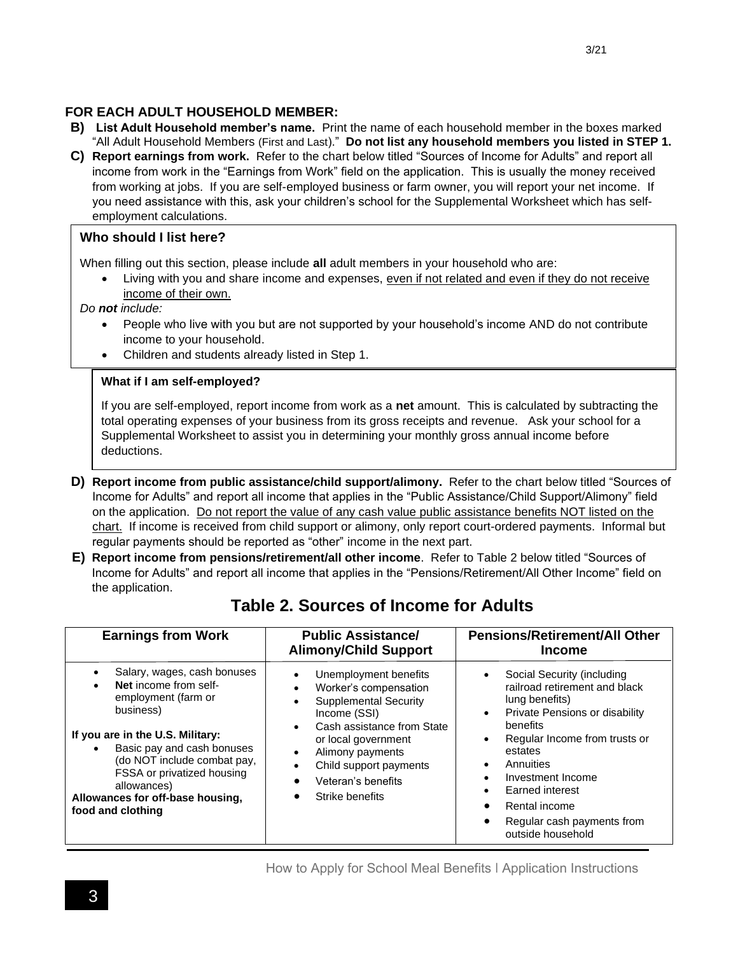# **FOR EACH ADULT HOUSEHOLD MEMBER:**

- **B) List Adult Household member's name.** Print the name of each household member in the boxes marked "All Adult Household Members (First and Last)." **Do not list any household members you listed in STEP 1.**
- **C) Report earnings from work.** Refer to the chart below titled "Sources of Income for Adults" and report all income from work in the "Earnings from Work" field on the application. This is usually the money received from working at jobs. If you are self-employed business or farm owner, you will report your net income. If you need assistance with this, ask your children's school for the Supplemental Worksheet which has selfemployment calculations.

### **Who should I list here?**

When filling out this section, please include **all** adult members in your household who are:

Living with you and share income and expenses, even if not related and even if they do not receive income of their own.

*Do not include:*

- People who live with you but are not supported by your household's income AND do not contribute income to your household.
- Children and students already listed in Step 1.

### **What if I am self-employed?**

If you are self-employed, report income from work as a **net** amount. This is calculated by subtracting the total operating expenses of your business from its gross receipts and revenue. Ask your school for a Supplemental Worksheet to assist you in determining your monthly gross annual income before deductions.

- **D) Report income from public assistance/child support/alimony.** Refer to the chart below titled "Sources of Income for Adults" and report all income that applies in the "Public Assistance/Child Support/Alimony" field on the application. Do not report the value of any cash value public assistance benefits NOT listed on the chart. If income is received from child support or alimony, only report court-ordered payments. Informal but regular payments should be reported as "other" income in the next part.
- **E) Report income from pensions/retirement/all other income**. Refer to Table 2 below titled "Sources of Income for Adults" and report all income that applies in the "Pensions/Retirement/All Other Income" field on the application.

| <b>Earnings from Work</b>                                                                                                                                                                                                                                                                       | <b>Public Assistance/</b><br><b>Alimony/Child Support</b>                                                                                                                                                                                                                                                                                          | <b>Pensions/Retirement/All Other</b><br><b>Income</b>                                                                                                                                                                                                                                                                                                     |
|-------------------------------------------------------------------------------------------------------------------------------------------------------------------------------------------------------------------------------------------------------------------------------------------------|----------------------------------------------------------------------------------------------------------------------------------------------------------------------------------------------------------------------------------------------------------------------------------------------------------------------------------------------------|-----------------------------------------------------------------------------------------------------------------------------------------------------------------------------------------------------------------------------------------------------------------------------------------------------------------------------------------------------------|
| Salary, wages, cash bonuses<br>Net income from self-<br>employment (farm or<br>business)<br>If you are in the U.S. Military:<br>Basic pay and cash bonuses<br>(do NOT include combat pay,<br>FSSA or privatized housing<br>allowances)<br>Allowances for off-base housing,<br>food and clothing | Unemployment benefits<br>$\bullet$<br>Worker's compensation<br>$\bullet$<br><b>Supplemental Security</b><br>$\bullet$<br>Income (SSI)<br>Cash assistance from State<br>$\bullet$<br>or local government<br>Alimony payments<br>$\bullet$<br>Child support payments<br>$\bullet$<br>Veteran's benefits<br>$\bullet$<br>Strike benefits<br>$\bullet$ | Social Security (including<br>railroad retirement and black<br>lung benefits)<br>Private Pensions or disability<br>$\bullet$<br>benefits<br>Regular Income from trusts or<br>$\bullet$<br>estates<br>Annuities<br>$\bullet$<br>Investment Income<br>Earned interest<br>$\bullet$<br>Rental income<br>Regular cash payments from<br>٠<br>outside household |

# **Table 2. Sources of Income for Adults**